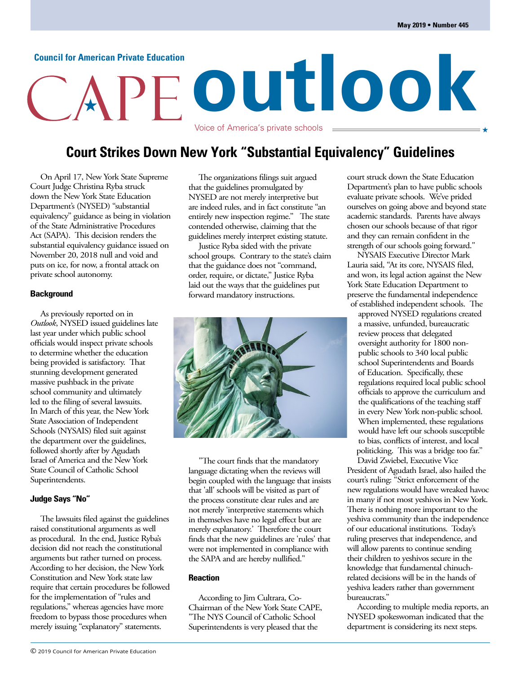# **outlook Council for American Private Education**

## **Court Strikes Down New York "Substantial Equivalency" Guidelines**

Voice of America's private schools

On April 17, New York State Supreme Court Judge Christina Ryba struck down the New York State Education Department's (NYSED) "substantial equivalency" guidance as being in violation of the State Administrative Procedures Act (SAPA). This decision renders the substantial equivalency guidance issued on November 20, 2018 null and void and puts on ice, for now, a frontal attack on private school autonomy.

## **Background**

As previously reported on in *Outlook*, NYSED issued guidelines late last year under which public school officials would inspect private schools to determine whether the education being provided is satisfactory. That stunning development generated massive pushback in the private school community and ultimately led to the filing of several lawsuits. In March of this year, the New York State Association of Independent Schools (NYSAIS) filed suit against the department over the guidelines, followed shortly after by Agudath Israel of America and the New York State Council of Catholic School Superintendents.

## **Judge Says "No"**

The lawsuits filed against the guidelines raised constitutional arguments as well as procedural. In the end, Justice Ryba's decision did not reach the constitutional arguments but rather turned on process. According to her decision, the New York Constitution and New York state law require that certain procedures be followed for the implementation of "rules and regulations," whereas agencies have more freedom to bypass those procedures when merely issuing "explanatory" statements.

The organizations filings suit argued that the guidelines promulgated by NYSED are not merely interpretive but are indeed rules, and in fact constitute "an entirely new inspection regime." The state contended otherwise, claiming that the guidelines merely interpret existing statute.

Justice Ryba sided with the private school groups. Contrary to the state's claim that the guidance does not "command, order, require, or dictate," Justice Ryba laid out the ways that the guidelines put forward mandatory instructions.



"The court finds that the mandatory language dictating when the reviews will begin coupled with the language that insists that 'all' schools will be visited as part of the process constitute clear rules and are not merely 'interpretive statements which in themselves have no legal effect but are merely explanatory.' Therefore the court finds that the new guidelines are 'rules' that were not implemented in compliance with the SAPA and are hereby nullified."

### **Reaction**

According to Jim Cultrara, Co-Chairman of the New York State CAPE, "The NYS Council of Catholic School Superintendents is very pleased that the

court struck down the State Education Department's plan to have public schools evaluate private schools. We've prided ourselves on going above and beyond state academic standards. Parents have always chosen our schools because of that rigor and they can remain confident in the strength of our schools going forward."

NYSAIS Executive Director Mark Lauria said, "At its core, NYSAIS filed, and won, its legal action against the New York State Education Department to preserve the fundamental independence of established independent schools. The

approved NYSED regulations created a massive, unfunded, bureaucratic review process that delegated oversight authority for 1800 nonpublic schools to 340 local public school Superintendents and Boards of Education. Specifically, these regulations required local public school officials to approve the curriculum and the qualifications of the teaching staff in every New York non-public school. When implemented, these regulations would have left our schools susceptible to bias, conflicts of interest, and local politicking. This was a bridge too far." David Zwiebel, Executive Vice

President of Agudath Israel, also hailed the court's ruling: "Strict enforcement of the new regulations would have wreaked havoc in many if not most yeshivos in New York. There is nothing more important to the yeshiva community than the independence of our educational institutions. Today's ruling preserves that independence, and will allow parents to continue sending their children to yeshivos secure in the knowledge that fundamental chinuchrelated decisions will be in the hands of yeshiva leaders rather than government bureaucrats."

According to multiple media reports, an NYSED spokeswoman indicated that the department is considering its next steps.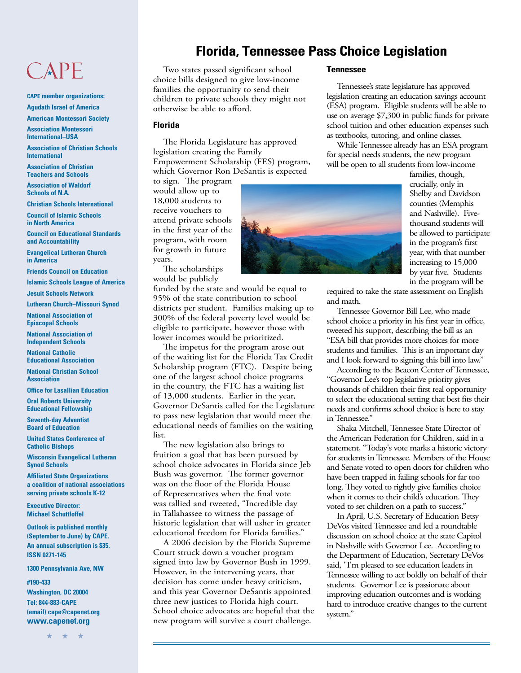## CAPE

### **CAPE member organizations: Agudath Israel of America**

**American Montessori Society**

**Association Montessori International–USA**

**Association of Christian Schools International**

**Association of Christian Teachers and Schools**

**Association of Waldorf Schools of N.A.**

**Christian Schools International**

**Council of Islamic Schools in North America**

**Council on Educational Standards and Accountability**

**Evangelical Lutheran Church in America**

**Friends Council on Education Islamic Schools League of America**

**Jesuit Schools Network**

**Lutheran Church–Missouri Synod**

**National Association of Episcopal Schools**

**National Association of Independent Schools**

**National Catholic Educational Association**

**National Christian School Association**

**Office for Lasallian Education**

**Oral Roberts University Educational Fellowship**

**Seventh-day Adventist Board of Education**

**United States Conference of Catholic Bishops**

**Wisconsin Evangelical Lutheran Synod Schools**

**Affiliated State Organizations a coalition of national associations serving private schools K-12**

**Executive Director: Michael Schuttloffel**

**Outlook is published monthly (September to June) by CAPE. An annual subscription is \$35. ISSN 0271-145**

**1300 Pennsylvania Ave, NW**

**#190-433**

**Washington, DC 20004 Tel: 844-883-CAPE (email) cape@capenet.org www.capenet.org**

\* \* \*

## **Florida, Tennessee Pass Choice Legislation**

Two states passed significant school choice bills designed to give low-income families the opportunity to send their children to private schools they might not otherwise be able to afford.

## **Florida**

The Florida Legislature has approved legislation creating the Family Empowerment Scholarship (FES) program, which Governor Ron DeSantis is expected

to sign. The program would allow up to 18,000 students to receive vouchers to attend private schools in the first year of the program, with room for growth in future years.

The scholarships would be publicly

funded by the state and would be equal to 95% of the state contribution to school districts per student. Families making up to 300% of the federal poverty level would be eligible to participate, however those with lower incomes would be prioritized.

The impetus for the program arose out of the waiting list for the Florida Tax Credit Scholarship program (FTC). Despite being one of the largest school choice programs in the country, the FTC has a waiting list of 13,000 students. Earlier in the year, Governor DeSantis called for the Legislature to pass new legislation that would meet the educational needs of families on the waiting list.

The new legislation also brings to fruition a goal that has been pursued by school choice advocates in Florida since Jeb Bush was governor. The former governor was on the floor of the Florida House of Representatives when the final vote was tallied and tweeted, "Incredible day in Tallahassee to witness the passage of historic legislation that will usher in greater educational freedom for Florida families."

A 2006 decision by the Florida Supreme Court struck down a voucher program signed into law by Governor Bush in 1999. However, in the intervening years, that decision has come under heavy criticism, and this year Governor DeSantis appointed three new justices to Florida high court. School choice advocates are hopeful that the new program will survive a court challenge.

## **Tennessee**

Tennessee's state legislature has approved legislation creating an education savings account (ESA) program. Eligible students will be able to use on average \$7,300 in public funds for private school tuition and other education expenses such as textbooks, tutoring, and online classes.

While Tennessee already has an ESA program for special needs students, the new program will be open to all students from low-income



families, though, crucially, only in Shelby and Davidson counties (Memphis and Nashville). Fivethousand students will be allowed to participate in the program's first year, with that number increasing to 15,000 by year five. Students in the program will be

required to take the state assessment on English and math.

Tennessee Governor Bill Lee, who made school choice a priority in his first year in office, tweeted his support, describing the bill as an "ESA bill that provides more choices for more students and families. This is an important day and I look forward to signing this bill into law."

According to the Beacon Center of Tennessee, "Governor Lee's top legislative priority gives thousands of children their first real opportunity to select the educational setting that best fits their needs and confirms school choice is here to stay in Tennessee."

Shaka Mitchell, Tennessee State Director of the American Federation for Children, said in a statement, "Today's vote marks a historic victory for students in Tennessee. Members of the House and Senate voted to open doors for children who have been trapped in failing schools for far too long. They voted to rightly give families choice when it comes to their child's education. They voted to set children on a path to success."

In April, U.S. Secretary of Education Betsy DeVos visited Tennessee and led a roundtable discussion on school choice at the state Capitol in Nashville with Governor Lee. According to the Department of Education, Secretary DeVos said, "I'm pleased to see education leaders in Tennessee willing to act boldly on behalf of their students. Governor Lee is passionate about improving education outcomes and is working hard to introduce creative changes to the current system."

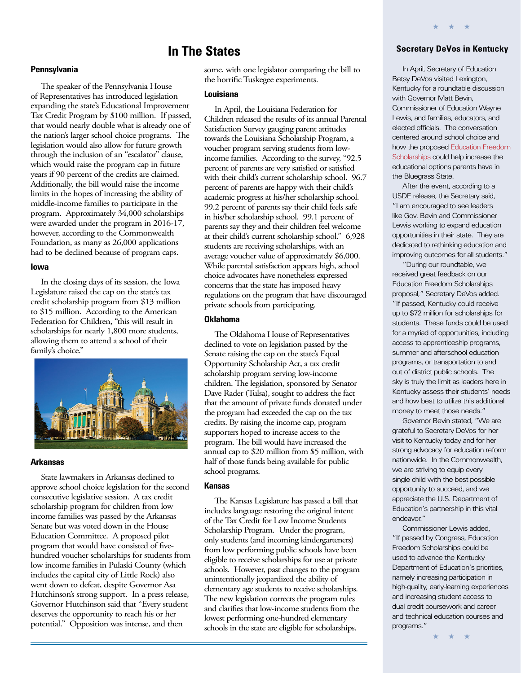## **In The States**

## **Pennsylvania**

The speaker of the Pennsylvania House of Representatives has introduced legislation expanding the state's Educational Improvement Tax Credit Program by \$100 million. If passed, that would nearly double what is already one of the nation's larger school choice programs. The legislation would also allow for future growth through the inclusion of an "escalator" clause, which would raise the program cap in future years if 90 percent of the credits are claimed. Additionally, the bill would raise the income limits in the hopes of increasing the ability of middle-income families to participate in the program. Approximately 34,000 scholarships were awarded under the program in 2016-17, however, according to the Commonwealth Foundation, as many as 26,000 applications had to be declined because of program caps.

### **Iowa**

In the closing days of its session, the Iowa Legislature raised the cap on the state's tax credit scholarship program from \$13 million to \$15 million. According to the American Federation for Children, "this will result in scholarships for nearly 1,800 more students, allowing them to attend a school of their family's choice."



### **Arkansas**

State lawmakers in Arkansas declined to approve school choice legislation for the second consecutive legislative session. A tax credit scholarship program for children from low income families was passed by the Arkansas Senate but was voted down in the House Education Committee. A proposed pilot program that would have consisted of fivehundred voucher scholarships for students from low income families in Pulaski County (which includes the capital city of Little Rock) also went down to defeat, despite Governor Asa Hutchinson's strong support. In a press release, Governor Hutchinson said that "Every student deserves the opportunity to reach his or her potential." Opposition was intense, and then

some, with one legislator comparing the bill to the horrific Tuskegee experiments.

#### **Louisiana**

In April, the Louisiana Federation for Children released the results of its annual Parental Satisfaction Survey gauging parent attitudes towards the Louisiana Scholarship Program, a voucher program serving students from lowincome families. According to the survey, "92.5 percent of parents are very satisfied or satisfied with their child's current scholarship school. 96.7 percent of parents are happy with their child's academic progress at his/her scholarship school. 99.2 percent of parents say their child feels safe in his/her scholarship school. 99.1 percent of parents say they and their children feel welcome at their child's current scholarship school." 6,928 students are receiving scholarships, with an average voucher value of approximately \$6,000. While parental satisfaction appears high, school choice advocates have nonetheless expressed concerns that the state has imposed heavy regulations on the program that have discouraged private schools from participating.

## **Oklahoma**

The Oklahoma House of Representatives declined to vote on legislation passed by the Senate raising the cap on the state's Equal Opportunity Scholarship Act, a tax credit scholarship program serving low-income children. The legislation, sponsored by Senator Dave Rader (Tulsa), sought to address the fact that the amount of private funds donated under the program had exceeded the cap on the tax credits. By raising the income cap, program supporters hoped to increase access to the program. The bill would have increased the annual cap to \$20 million from \$5 million, with half of those funds being available for public school programs.

#### **Kansas**

The Kansas Legislature has passed a bill that includes language restoring the original intent of the Tax Credit for Low Income Students Scholarship Program. Under the program, only students (and incoming kindergarteners) from low performing public schools have been eligible to receive scholarships for use at private schools. However, past changes to the program unintentionally jeopardized the ability of elementary age students to receive scholarships. The new legislation corrects the program rules and clarifies that low-income students from the lowest performing one-hundred elementary schools in the state are eligible for scholarships.

## **Secretary DeVos in Kentucky**

\* \* \*

In April, Secretary of Education Betsy DeVos visited Lexington, Kentucky for a roundtable discussion with Governor Matt Bevin, Commissioner of Education Wayne Lewis, and families, educators, and elected officials. The conversation centered around school choice and how the proposed [Education Freedom](https://sites.ed.gov/freedom/?utm_content&utm_medium=email&utm_name&utm_source=govdelivery&utm_term)  [Scholarships](https://sites.ed.gov/freedom/?utm_content&utm_medium=email&utm_name&utm_source=govdelivery&utm_term) could help increase the educational options parents have in the Bluegrass State.

After the event, according to a USDE release, the Secretary said, "I am encouraged to see leaders like Gov. Bevin and Commissioner Lewis working to expand education opportunities in their state. They are dedicated to rethinking education and improving outcomes for all students."

"During our roundtable, we received great feedback on our Education Freedom Scholarships proposal," Secretary DeVos added. "If passed, Kentucky could receive up to \$72 million for scholarships for students. These funds could be used for a myriad of opportunities, including access to apprenticeship programs, summer and afterschool education programs, or transportation to and out of district public schools. The sky is truly the limit as leaders here in Kentucky assess their students' needs and how best to utilize this additional money to meet those needs."

Governor Bevin stated, "We are grateful to Secretary DeVos for her visit to Kentucky today and for her strong advocacy for education reform nationwide. In the Commonwealth, we are striving to equip every single child with the best possible opportunity to succeed, and we appreciate the U.S. Department of Education's partnership in this vital endeavor."

Commissioner Lewis added, "If passed by Congress, Education Freedom Scholarships could be used to advance the Kentucky Department of Education's priorities, namely increasing participation in high-quality, early-learning experiences and increasing student access to dual credit coursework and career and technical education courses and programs."

\* \* \*